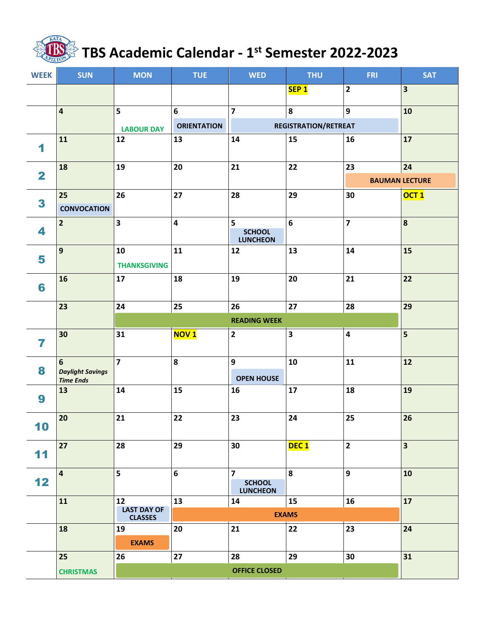## **TBS Academic Calendar - 1 st Semester 2022-2023**

| <b>WEEK</b>             | <b>SUN</b>                                                    | <b>MON</b>                                 | <b>TUE</b>              | <b>WED</b>                                         | <b>THU</b>                  | <b>FRI</b>              | <b>SAT</b>                  |
|-------------------------|---------------------------------------------------------------|--------------------------------------------|-------------------------|----------------------------------------------------|-----------------------------|-------------------------|-----------------------------|
|                         |                                                               |                                            |                         |                                                    | SEP <sub>1</sub>            | $\overline{\mathbf{2}}$ | $\overline{\mathbf{3}}$     |
|                         | $\overline{\mathbf{4}}$                                       | 5                                          | $\boldsymbol{6}$        | $\overline{\mathbf{z}}$                            | $\pmb{8}$                   | 9                       | 10                          |
|                         |                                                               | <b>LABOUR DAY</b>                          | <b>ORIENTATION</b>      |                                                    | <b>REGISTRATION/RETREAT</b> |                         |                             |
| 1                       | 11                                                            | 12                                         | 13                      | 14                                                 | 15                          | 16                      | 17                          |
| $\overline{\mathbf{2}}$ | 18                                                            | 19                                         | 20                      | 21                                                 | 22                          | 23                      | 24<br><b>BAUMAN LECTURE</b> |
| 3                       | 25<br><b>CONVOCATION</b>                                      | 26                                         | 27                      | 28                                                 | 29                          | 30                      | OCT <sub>1</sub>            |
| 4                       | $\overline{2}$                                                | $\overline{\mathbf{3}}$                    | $\overline{\mathbf{4}}$ | 5<br><b>SCHOOL</b><br><b>LUNCHEON</b>              | $\boldsymbol{6}$            | $\overline{\mathbf{z}}$ | $\boldsymbol{8}$            |
| 5                       | $\mathbf{9}$                                                  | 10<br><b>THANKSGIVING</b>                  | 11                      | 12                                                 | 13                          | 14                      | 15                          |
| 6                       | 16                                                            | 17                                         | 18                      | 19                                                 | 20                          | 21                      | 22                          |
|                         | 23                                                            | 24                                         | 25                      | 26                                                 | $27\,$                      | 28                      | 29                          |
|                         |                                                               | <b>READING WEEK</b>                        |                         |                                                    |                             |                         |                             |
| 7                       | 30                                                            | 31                                         | <b>NOV1</b>             | $\mathbf{2}$                                       | $\overline{\mathbf{3}}$     | $\overline{\mathbf{4}}$ | $\overline{\mathbf{5}}$     |
| 8                       | $6\phantom{1}$<br><b>Daylight Savings</b><br><b>Time Ends</b> | $\overline{7}$                             | 8                       | 9<br><b>OPEN HOUSE</b>                             | 10                          | 11                      | 12                          |
| 9                       | 13                                                            | 14                                         | 15                      | 16                                                 | 17                          | 18                      | 19                          |
| 10                      | 20                                                            | 21                                         | 22                      | 23                                                 | 24                          | 25                      | 26                          |
| 11                      | 27                                                            | 28                                         | 29                      | 30                                                 | DEC <sub>1</sub>            | $\overline{2}$          | $\overline{\mathbf{3}}$     |
| 12                      | $\overline{4}$                                                | 5                                          | $6\phantom{a}$          | $\overline{7}$<br><b>SCHOOL</b><br><b>LUNCHEON</b> | 8                           | 9                       | 10                          |
|                         | 11                                                            | 12<br><b>LAST DAY OF</b><br><b>CLASSES</b> | 13                      | 14                                                 | 15<br><b>EXAMS</b>          | 16                      | 17                          |
|                         | 18                                                            | 19<br><b>EXAMS</b>                         | 20                      | 21                                                 | 22                          | 23                      | 24                          |
|                         | 25                                                            | 26                                         | 27                      | 28                                                 | 29                          | 30                      | 31                          |
|                         | <b>CHRISTMAS</b>                                              |                                            |                         |                                                    |                             |                         |                             |